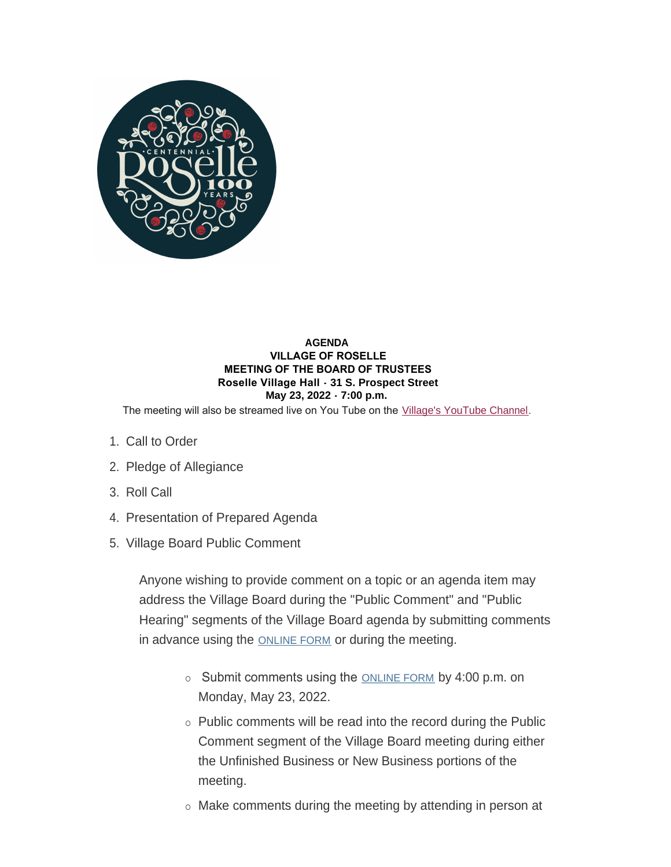

### **AGENDA VILLAGE OF ROSELLE MEETING OF THE BOARD OF TRUSTEES Roselle Village Hall - 31 S. Prospect Street May 23, 2022 - 7:00 p.m.**

The meeting will also be streamed live on You Tube on the [Village's YouTube Channel](https://www.youtube.com/user/villageofroselle).

- 1. Call to Order
- 2. Pledge of Allegiance
- 3. Roll Call
- 4. Presentation of Prepared Agenda
- 5. Village Board Public Comment

Anyone wishing to provide comment on a topic or an agenda item may address the Village Board during the "Public Comment" and "Public Hearing" segments of the Village Board agenda by submitting comments in advance using the [ONLINE FORM](https://www.roselle.il.us/FormCenter/Village-Board-Forms-13/Village-Board-Meeting-Public-Participati-75) or during the meeting.

- $\circ$  Submit comments using the [ONLINE FORM](https://www.roselle.il.us/FormCenter/Village-Board-Forms-13/Village-Board-Meeting-Public-Participati-75) by 4:00 p.m. on Monday, May 23, 2022.
- $\circ$  Public comments will be read into the record during the Public Comment segment of the Village Board meeting during either the Unfinished Business or New Business portions of the meeting.
- $\circ$  Make comments during the meeting by attending in person at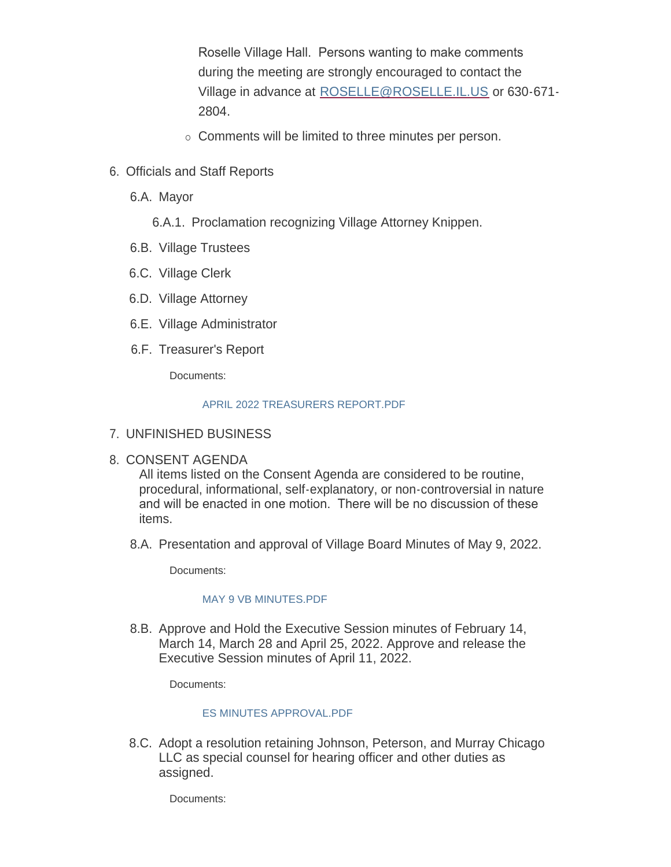Roselle Village Hall. Persons wanting to make comments during the meeting are strongly encouraged to contact the Village in advance at [ROSELLE@ROSELLE.IL.US](mailto:roselle@roselle.il.us) or 630-671- 2804.

- o Comments will be limited to three minutes per person.
- 6. Officials and Staff Reports
	- 6.A. Mayor

6.A.1. Proclamation recognizing Village Attorney Knippen.

- 6.B. Village Trustees
- 6.C. Village Clerk
- 6.D. Village Attorney
- 6.E. Village Administrator
- 6.F. Treasurer's Report

Documents:

### [APRIL 2022 TREASURERS REPORT.PDF](https://www.roselle.il.us/AgendaCenter/ViewFile/Item/5285?fileID=5977)

# UNFINISHED BUSINESS 7.

# 8. CONSENT AGENDA

All items listed on the Consent Agenda are considered to be routine, procedural, informational, self-explanatory, or non-controversial in nature and will be enacted in one motion. There will be no discussion of these items.

8.A. Presentation and approval of Village Board Minutes of May 9, 2022.

Documents:

### MAY 9 VB MINUTES PDF

8.B. Approve and Hold the Executive Session minutes of February 14, March 14, March 28 and April 25, 2022. Approve and release the Executive Session minutes of April 11, 2022.

Documents:

## [ES MINUTES APPROVAL.PDF](https://www.roselle.il.us/AgendaCenter/ViewFile/Item/5290?fileID=5980)

8.C. Adopt a resolution retaining Johnson, Peterson, and Murray Chicago LLC as special counsel for hearing officer and other duties as assigned.

Documents: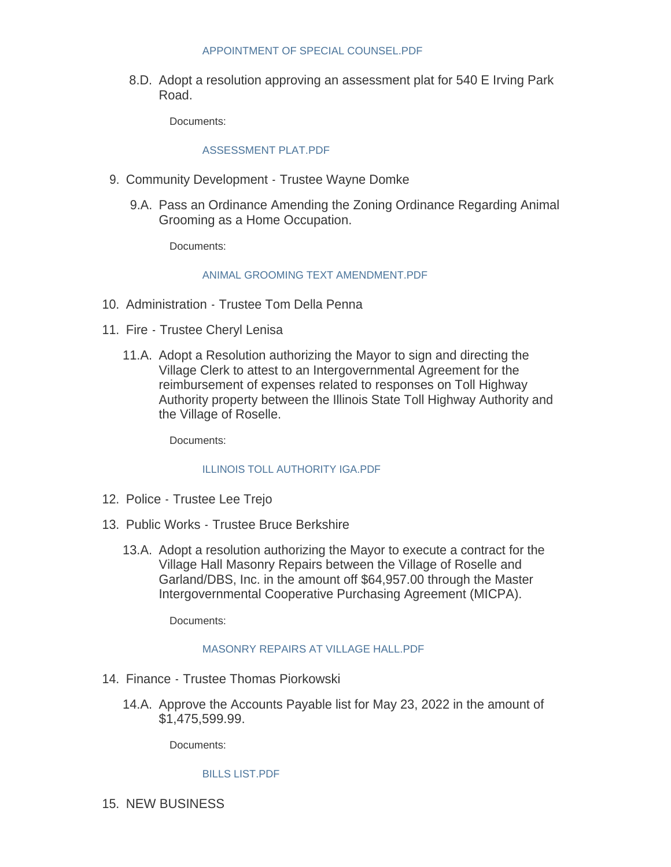#### [APPOINTMENT OF SPECIAL COUNSEL.PDF](https://www.roselle.il.us/AgendaCenter/ViewFile/Item/5291?fileID=5981)

8.D. Adopt a resolution approving an assessment plat for 540 E Irving Park Road.

Documents:

### [ASSESSMENT PLAT.PDF](https://www.roselle.il.us/AgendaCenter/ViewFile/Item/5292?fileID=5982)

- 9. Community Development Trustee Wayne Domke
	- 9.A. Pass an Ordinance Amending the Zoning Ordinance Regarding Animal Grooming as a Home Occupation.

Documents:

### [ANIMAL GROOMING TEXT AMENDMENT.PDF](https://www.roselle.il.us/AgendaCenter/ViewFile/Item/5295?fileID=5985)

- 10. Administration Trustee Tom Della Penna
- 11. Fire Trustee Cheryl Lenisa
	- 11.A. Adopt a Resolution authorizing the Mayor to sign and directing the Village Clerk to attest to an Intergovernmental Agreement for the reimbursement of expenses related to responses on Toll Highway Authority property between the Illinois State Toll Highway Authority and the Village of Roselle.

Documents:

### [ILLINOIS TOLL AUTHORITY IGA.PDF](https://www.roselle.il.us/AgendaCenter/ViewFile/Item/5294?fileID=5984)

- 12. Police Trustee Lee Trejo
- 13. Public Works Trustee Bruce Berkshire
	- 13.A. Adopt a resolution authorizing the Mayor to execute a contract for the Village Hall Masonry Repairs between the Village of Roselle and Garland/DBS, Inc. in the amount off \$64,957.00 through the Master Intergovernmental Cooperative Purchasing Agreement (MICPA).

Documents:

#### [MASONRY REPAIRS AT VILLAGE HALL.PDF](https://www.roselle.il.us/AgendaCenter/ViewFile/Item/5293?fileID=5989)

- 14. Finance Trustee Thomas Piorkowski
	- 14.A. Approve the Accounts Payable list for May 23, 2022 in the amount of \$1,475,599.99.

Documents:

#### [BILLS LIST.PDF](https://www.roselle.il.us/AgendaCenter/ViewFile/Item/5288?fileID=5979)

15. NEW BUSINESS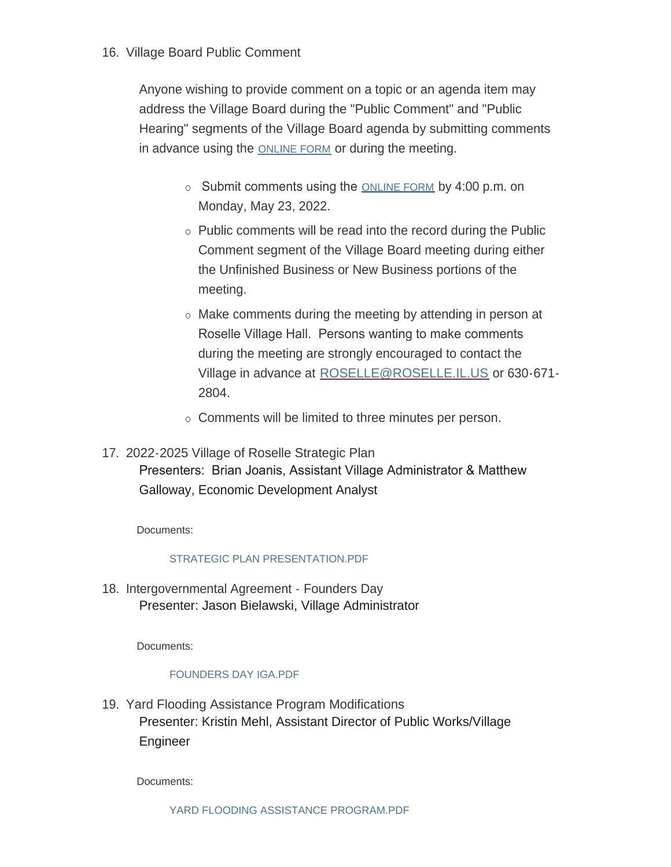# 16. Village Board Public Comment

Anyone wishing to provide comment on a topic or an agenda item may address the Village Board during the "Public Comment" and "Public Hearing" segments of the Village Board agenda by submitting comments in advance using the [ONLINE FORM](https://www.roselle.il.us/FormCenter/Village-Board-Forms-13/Village-Board-Meeting-Public-Participati-75) or during the meeting.

- $\circ$  Submit comments using the [ONLINE FORM](https://www.roselle.il.us/FormCenter/Village-Board-Forms-13/Village-Board-Meeting-Public-Participati-75) by 4:00 p.m. on Monday, May 23, 2022.
- $\circ$  Public comments will be read into the record during the Public Comment segment of the Village Board meeting during either the Unfinished Business or New Business portions of the meeting.
- $\circ$  Make comments during the meeting by attending in person at Roselle Village Hall. Persons wanting to make comments during the meeting are strongly encouraged to contact the Village in advance at [ROSELLE@ROSELLE.IL.US](mailto:roselle@roselle.il.us) or 630-671-2804.
- $\circ$  Comments will be limited to three minutes per person.
- 2022-2025 Village of Roselle Strategic Plan 17. Presenters: Brian Joanis, Assistant Village Administrator & Matthew Galloway, Economic Development Analyst

Documents:

## [STRATEGIC PLAN PRESENTATION.PDF](https://www.roselle.il.us/AgendaCenter/ViewFile/Item/5296?fileID=5986)

18. Intergovernmental Agreement - Founders Day Presenter: Jason Bielawski, Village Administrator

Documents:

## [FOUNDERS DAY IGA.PDF](https://www.roselle.il.us/AgendaCenter/ViewFile/Item/5298?fileID=5988)

19. Yard Flooding Assistance Program Modifications Presenter: Kristin Mehl, Assistant Director of Public Works/Village Engineer

Documents: